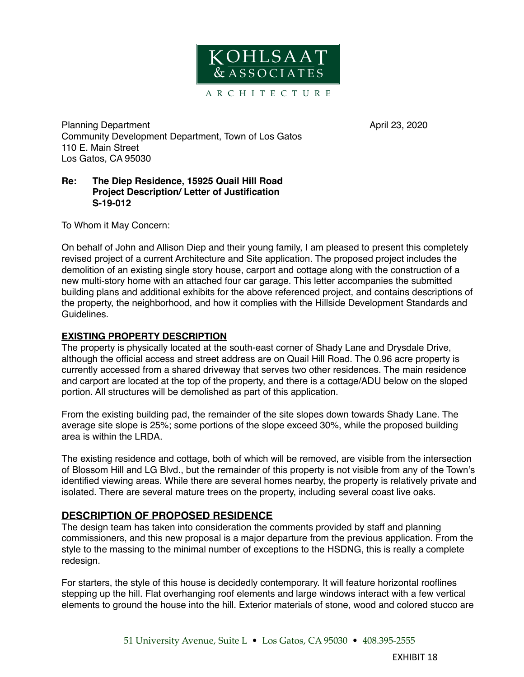

Planning Department **April 23, 2020** Community Development Department, Town of Los Gatos 110 E. Main Street Los Gatos, CA 95030

### **Re: The Diep Residence, 15925 Quail Hill Road Project Description/ Letter of Justification S-19-012**

To Whom it May Concern:

On behalf of John and Allison Diep and their young family, I am pleased to present this completely revised project of a current Architecture and Site application. The proposed project includes the demolition of an existing single story house, carport and cottage along with the construction of a new multi-story home with an attached four car garage. This letter accompanies the submitted building plans and additional exhibits for the above referenced project, and contains descriptions of the property, the neighborhood, and how it complies with the Hillside Development Standards and Guidelines.

### **EXISTING PROPERTY DESCRIPTION**

The property is physically located at the south-east corner of Shady Lane and Drysdale Drive, although the official access and street address are on Quail Hill Road. The 0.96 acre property is currently accessed from a shared driveway that serves two other residences. The main residence and carport are located at the top of the property, and there is a cottage/ADU below on the sloped portion. All structures will be demolished as part of this application.

From the existing building pad, the remainder of the site slopes down towards Shady Lane. The average site slope is 25%; some portions of the slope exceed 30%, while the proposed building area is within the LRDA.

The existing residence and cottage, both of which will be removed, are visible from the intersection of Blossom Hill and LG Blvd., but the remainder of this property is not visible from any of the Town's identified viewing areas. While there are several homes nearby, the property is relatively private and isolated. There are several mature trees on the property, including several coast live oaks.

# **DESCRIPTION OF PROPOSED RESIDENCE**

The design team has taken into consideration the comments provided by staff and planning commissioners, and this new proposal is a major departure from the previous application. From the style to the massing to the minimal number of exceptions to the HSDNG, this is really a complete redesign.

For starters, the style of this house is decidedly contemporary. It will feature horizontal rooflines stepping up the hill. Flat overhanging roof elements and large windows interact with a few vertical elements to ground the house into the hill. Exterior materials of stone, wood and colored stucco are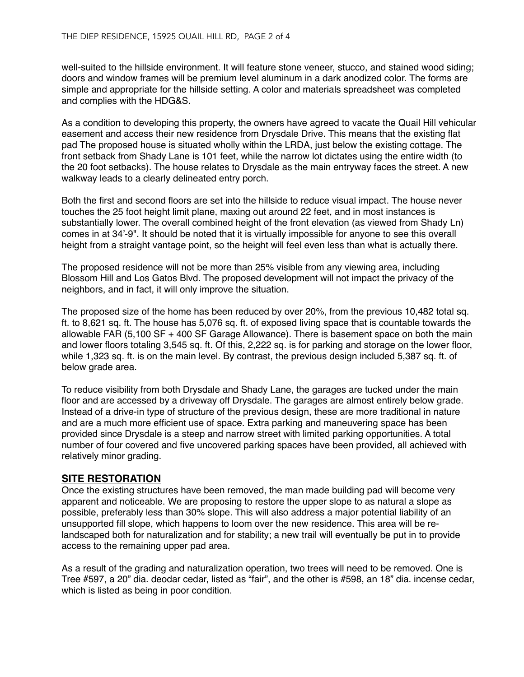well-suited to the hillside environment. It will feature stone veneer, stucco, and stained wood siding; doors and window frames will be premium level aluminum in a dark anodized color. The forms are simple and appropriate for the hillside setting. A color and materials spreadsheet was completed and complies with the HDG&S.

As a condition to developing this property, the owners have agreed to vacate the Quail Hill vehicular easement and access their new residence from Drysdale Drive. This means that the existing flat pad The proposed house is situated wholly within the LRDA, just below the existing cottage. The front setback from Shady Lane is 101 feet, while the narrow lot dictates using the entire width (to the 20 foot setbacks). The house relates to Drysdale as the main entryway faces the street. A new walkway leads to a clearly delineated entry porch.

Both the first and second floors are set into the hillside to reduce visual impact. The house never touches the 25 foot height limit plane, maxing out around 22 feet, and in most instances is substantially lower. The overall combined height of the front elevation (as viewed from Shady Ln) comes in at 34'-9". It should be noted that it is virtually impossible for anyone to see this overall height from a straight vantage point, so the height will feel even less than what is actually there.

The proposed residence will not be more than 25% visible from any viewing area, including Blossom Hill and Los Gatos Blvd. The proposed development will not impact the privacy of the neighbors, and in fact, it will only improve the situation.

The proposed size of the home has been reduced by over 20%, from the previous 10,482 total sq. ft. to 8,621 sq. ft. The house has 5,076 sq. ft. of exposed living space that is countable towards the allowable FAR (5,100 SF + 400 SF Garage Allowance). There is basement space on both the main and lower floors totaling 3,545 sq. ft. Of this, 2,222 sq. is for parking and storage on the lower floor, while 1,323 sq. ft. is on the main level. By contrast, the previous design included 5,387 sq. ft. of below grade area.

To reduce visibility from both Drysdale and Shady Lane, the garages are tucked under the main floor and are accessed by a driveway off Drysdale. The garages are almost entirely below grade. Instead of a drive-in type of structure of the previous design, these are more traditional in nature and are a much more efficient use of space. Extra parking and maneuvering space has been provided since Drysdale is a steep and narrow street with limited parking opportunities. A total number of four covered and five uncovered parking spaces have been provided, all achieved with relatively minor grading.

# **SITE RESTORATION**

Once the existing structures have been removed, the man made building pad will become very apparent and noticeable. We are proposing to restore the upper slope to as natural a slope as possible, preferably less than 30% slope. This will also address a major potential liability of an unsupported fill slope, which happens to loom over the new residence. This area will be relandscaped both for naturalization and for stability; a new trail will eventually be put in to provide access to the remaining upper pad area.

As a result of the grading and naturalization operation, two trees will need to be removed. One is Tree #597, a 20" dia. deodar cedar, listed as "fair", and the other is #598, an 18" dia. incense cedar, which is listed as being in poor condition.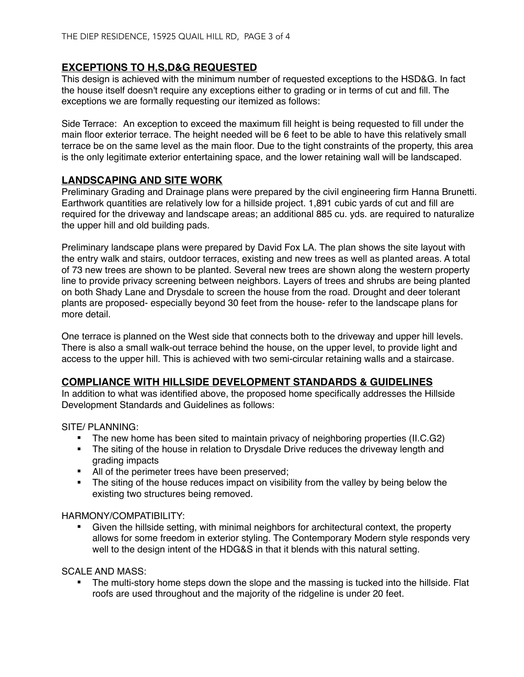# **EXCEPTIONS TO H,S,D&G REQUESTED**

This design is achieved with the minimum number of requested exceptions to the HSD&G. In fact the house itself doesn't require any exceptions either to grading or in terms of cut and fill. The exceptions we are formally requesting our itemized as follows:

Side Terrace: An exception to exceed the maximum fill height is being requested to fill under the main floor exterior terrace. The height needed will be 6 feet to be able to have this relatively small terrace be on the same level as the main floor. Due to the tight constraints of the property, this area is the only legitimate exterior entertaining space, and the lower retaining wall will be landscaped.

# **LANDSCAPING AND SITE WORK**

Preliminary Grading and Drainage plans were prepared by the civil engineering firm Hanna Brunetti. Earthwork quantities are relatively low for a hillside project. 1,891 cubic yards of cut and fill are required for the driveway and landscape areas; an additional 885 cu. yds. are required to naturalize the upper hill and old building pads.

Preliminary landscape plans were prepared by David Fox LA. The plan shows the site layout with the entry walk and stairs, outdoor terraces, existing and new trees as well as planted areas. A total of 73 new trees are shown to be planted. Several new trees are shown along the western property line to provide privacy screening between neighbors. Layers of trees and shrubs are being planted on both Shady Lane and Drysdale to screen the house from the road. Drought and deer tolerant plants are proposed- especially beyond 30 feet from the house- refer to the landscape plans for more detail.

One terrace is planned on the West side that connects both to the driveway and upper hill levels. There is also a small walk-out terrace behind the house, on the upper level, to provide light and access to the upper hill. This is achieved with two semi-circular retaining walls and a staircase.

# **COMPLIANCE WITH HILLSIDE DEVELOPMENT STANDARDS & GUIDELINES**

In addition to what was identified above, the proposed home specifically addresses the Hillside Development Standards and Guidelines as follows:

SITE/ PLANNING:

- The new home has been sited to maintain privacy of neighboring properties (II.C.G2)
- The siting of the house in relation to Drysdale Drive reduces the driveway length and grading impacts
- All of the perimeter trees have been preserved;
- **•** The siting of the house reduces impact on visibility from the valley by being below the existing two structures being removed.

### HARMONY/COMPATIBILITY:

§ Given the hillside setting, with minimal neighbors for architectural context, the property allows for some freedom in exterior styling. The Contemporary Modern style responds very well to the design intent of the HDG&S in that it blends with this natural setting.

SCALE AND MASS:

The multi-story home steps down the slope and the massing is tucked into the hillside. Flat roofs are used throughout and the majority of the ridgeline is under 20 feet.